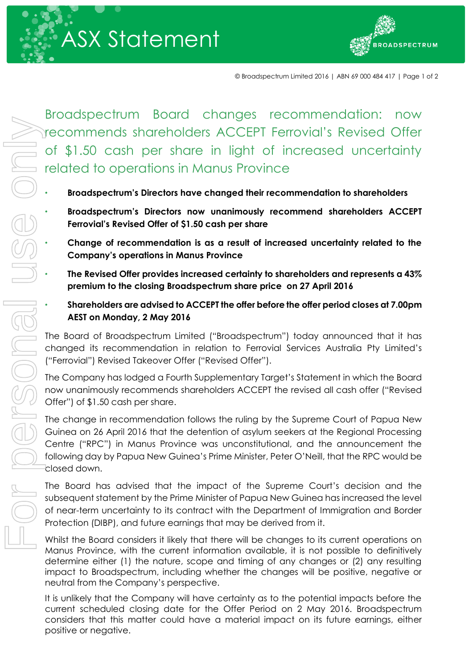



© Broadspectrum Limited 2016 | ABN 69 000 484 417 | Page 1 of 2

Broadspectrum Board changes recommendation: now recommends shareholders ACCEPT Ferrovial's Revised Offer of \$1.50 cash per share in light of increased uncertainty related to operations in Manus Province

- **Broadspectrum's Directors have changed their recommendation to shareholders**
- **Broadspectrum's Directors now unanimously recommend shareholders ACCEPT Ferrovial's Revised Offer of \$1.50 cash per share**
- **Change of recommendation is as a result of increased uncertainty related to the Company's operations in Manus Province**
- **The Revised Offer provides increased certainty to shareholders and represents a 43% premium to the closing Broadspectrum share price on 27 April 2016**
	- **Shareholders are advised to ACCEPT the offer before the offer period closes at 7.00pm AEST on Monday, 2 May 2016**

The Board of Broadspectrum Limited ("Broadspectrum") today announced that it has changed its recommendation in relation to Ferrovial Services Australia Pty Limited's ("Ferrovial") Revised Takeover Offer ("Revised Offer").

The Company has lodged a Fourth Supplementary Target's Statement in which the Board now unanimously recommends shareholders ACCEPT the revised all cash offer ("Revised Offer") of \$1.50 cash per share.

The change in recommendation follows the ruling by the Supreme Court of Papua New Guinea on 26 April 2016 that the detention of asylum seekers at the Regional Processing Centre ("RPC") in Manus Province was unconstitutional, and the announcement the following day by Papua New Guinea's Prime Minister, Peter O'Neill, that the RPC would be closed down.

The Board has advised that the impact of the Supreme Court's decision and the subsequent statement by the Prime Minister of Papua New Guinea has increased the level of near-term uncertainty to its contract with the Department of Immigration and Border Protection (DIBP), and future earnings that may be derived from it.

Whilst the Board considers it likely that there will be changes to its current operations on Manus Province, with the current information available, it is not possible to definitively determine either (1) the nature, scope and timing of any changes or (2) any resulting impact to Broadspectrum, including whether the changes will be positive, negative or neutral from the Company's perspective.

It is unlikely that the Company will have certainty as to the potential impacts before the current scheduled closing date for the Offer Period on 2 May 2016. Broadspectrum considers that this matter could have a material impact on its future earnings, either